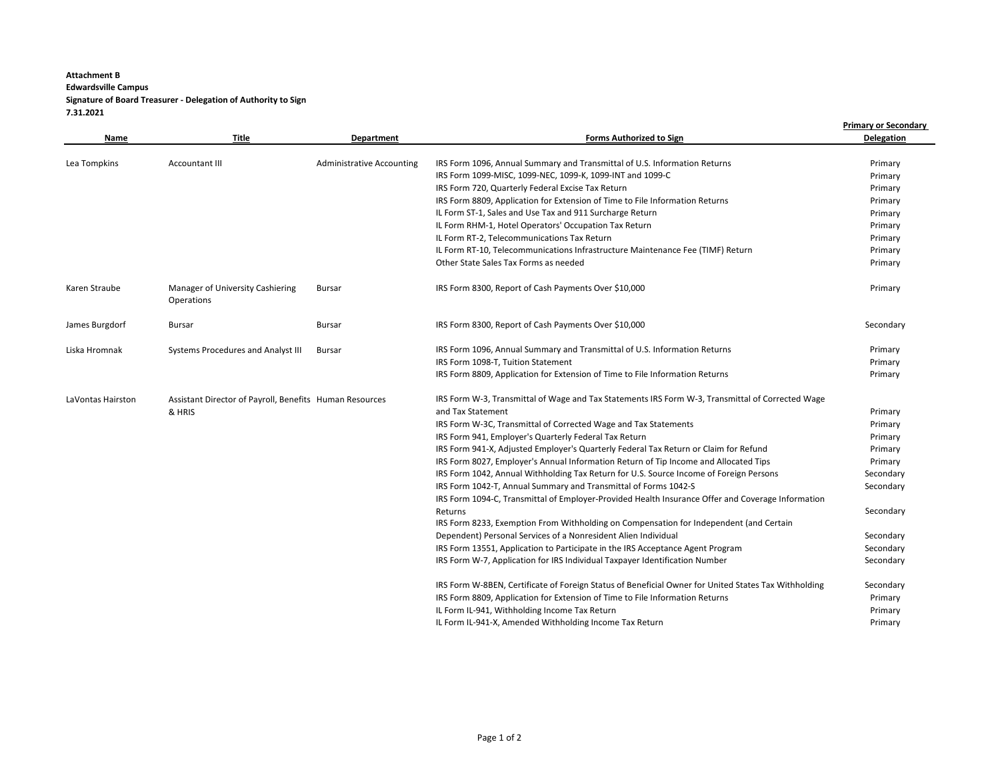## **Attachment B Edwardsville Campus Signature of Board Treasurer - Delegation of Authority to Sign 7.31.2021**

| Name              | Title                                                   | <b>Department</b>                | <b>Forms Authorized to Sign</b>                                                                                                                                      | <b>Primary or Secondary</b><br><b>Delegation</b> |
|-------------------|---------------------------------------------------------|----------------------------------|----------------------------------------------------------------------------------------------------------------------------------------------------------------------|--------------------------------------------------|
| Lea Tompkins      | Accountant III                                          | <b>Administrative Accounting</b> | IRS Form 1096, Annual Summary and Transmittal of U.S. Information Returns                                                                                            | Primary                                          |
|                   |                                                         |                                  | IRS Form 1099-MISC, 1099-NEC, 1099-K, 1099-INT and 1099-C                                                                                                            | Primary                                          |
|                   |                                                         |                                  | IRS Form 720, Quarterly Federal Excise Tax Return                                                                                                                    | Primary                                          |
|                   |                                                         |                                  | IRS Form 8809, Application for Extension of Time to File Information Returns                                                                                         | Primary                                          |
|                   |                                                         |                                  | IL Form ST-1, Sales and Use Tax and 911 Surcharge Return                                                                                                             | Primary                                          |
|                   |                                                         |                                  | IL Form RHM-1, Hotel Operators' Occupation Tax Return                                                                                                                | Primary                                          |
|                   |                                                         |                                  | IL Form RT-2, Telecommunications Tax Return                                                                                                                          | Primary                                          |
|                   |                                                         |                                  | IL Form RT-10, Telecommunications Infrastructure Maintenance Fee (TIMF) Return                                                                                       | Primary                                          |
|                   |                                                         |                                  | Other State Sales Tax Forms as needed                                                                                                                                | Primary                                          |
| Karen Straube     | Manager of University Cashiering<br>Operations          | Bursar                           | IRS Form 8300, Report of Cash Payments Over \$10,000                                                                                                                 | Primary                                          |
| James Burgdorf    | Bursar                                                  | <b>Bursar</b>                    | IRS Form 8300, Report of Cash Payments Over \$10,000                                                                                                                 | Secondary                                        |
| Liska Hromnak     | Systems Procedures and Analyst III                      | Bursar                           | IRS Form 1096, Annual Summary and Transmittal of U.S. Information Returns                                                                                            | Primary                                          |
|                   |                                                         |                                  | IRS Form 1098-T, Tuition Statement                                                                                                                                   | Primary                                          |
|                   |                                                         |                                  | IRS Form 8809, Application for Extension of Time to File Information Returns                                                                                         | Primary                                          |
| LaVontas Hairston | Assistant Director of Payroll, Benefits Human Resources |                                  | IRS Form W-3, Transmittal of Wage and Tax Statements IRS Form W-3, Transmittal of Corrected Wage                                                                     |                                                  |
|                   | & HRIS                                                  |                                  | and Tax Statement                                                                                                                                                    | Primary                                          |
|                   |                                                         |                                  | IRS Form W-3C, Transmittal of Corrected Wage and Tax Statements                                                                                                      | Primary                                          |
|                   |                                                         |                                  | IRS Form 941, Employer's Quarterly Federal Tax Return                                                                                                                | Primary                                          |
|                   |                                                         |                                  | IRS Form 941-X, Adjusted Employer's Quarterly Federal Tax Return or Claim for Refund                                                                                 | Primary                                          |
|                   |                                                         |                                  | IRS Form 8027, Employer's Annual Information Return of Tip Income and Allocated Tips                                                                                 | Primary                                          |
|                   |                                                         |                                  | IRS Form 1042, Annual Withholding Tax Return for U.S. Source Income of Foreign Persons                                                                               | Secondary                                        |
|                   |                                                         |                                  | IRS Form 1042-T, Annual Summary and Transmittal of Forms 1042-S<br>IRS Form 1094-C, Transmittal of Employer-Provided Health Insurance Offer and Coverage Information | Secondary                                        |
|                   |                                                         |                                  | Returns                                                                                                                                                              | Secondary                                        |
|                   |                                                         |                                  | IRS Form 8233, Exemption From Withholding on Compensation for Independent (and Certain                                                                               |                                                  |
|                   |                                                         |                                  | Dependent) Personal Services of a Nonresident Alien Individual                                                                                                       | Secondary                                        |
|                   |                                                         |                                  | IRS Form 13551, Application to Participate in the IRS Acceptance Agent Program                                                                                       | Secondary                                        |
|                   |                                                         |                                  | IRS Form W-7, Application for IRS Individual Taxpayer Identification Number                                                                                          | Secondary                                        |
|                   |                                                         |                                  | IRS Form W-8BEN, Certificate of Foreign Status of Beneficial Owner for United States Tax Withholding                                                                 | Secondary                                        |
|                   |                                                         |                                  | IRS Form 8809, Application for Extension of Time to File Information Returns                                                                                         | Primary                                          |
|                   |                                                         |                                  | IL Form IL-941, Withholding Income Tax Return                                                                                                                        | Primary                                          |
|                   |                                                         |                                  | IL Form IL-941-X, Amended Withholding Income Tax Return                                                                                                              | Primary                                          |